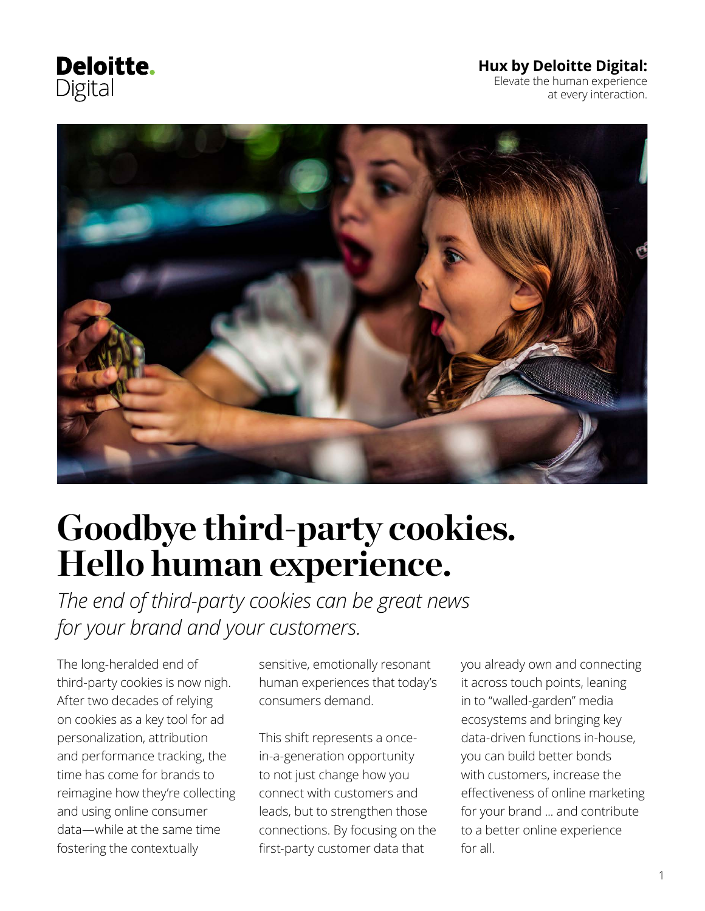**Deloitte.** Digital

#### **Hux by Deloitte Digital:**

Elevate the human experience at every interaction.



# **Goodbye third-party cookies. Hello human experience.**

*The end of third-party cookies can be great news for your brand and your customers.*

The long-heralded end of third-party cookies is now nigh. After two decades of relying on cookies as a key tool for ad personalization, attribution and performance tracking, the time has come for brands to reimagine how they're collecting and using online consumer data—while at the same time fostering the contextually

sensitive, emotionally resonant human experiences that today's consumers demand.

This shift represents a oncein-a-generation opportunity to not just change how you connect with customers and leads, but to strengthen those connections. By focusing on the first-party customer data that

you already own and connecting it across touch points, leaning in to "walled-garden" media ecosystems and bringing key data-driven functions in-house, you can build better bonds with customers, increase the effectiveness of online marketing for your brand ... and contribute to a better online experience for all.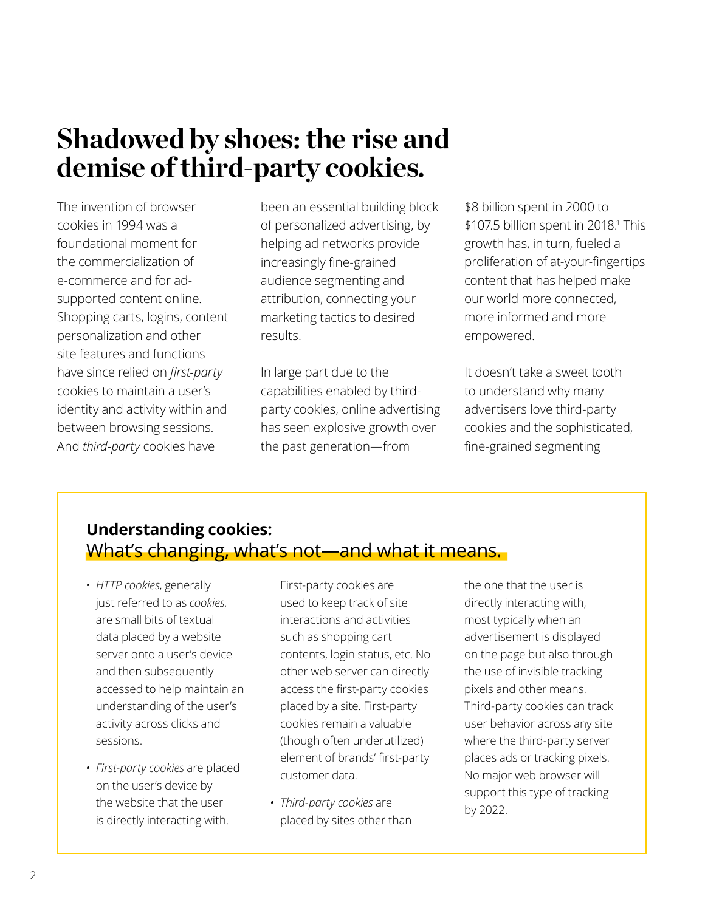### **Shadowed by shoes: the rise and demise of third-party cookies.**

The invention of browser cookies in 1994 was a foundational moment for the commercialization of e-commerce and for adsupported content online. Shopping carts, logins, content personalization and other site features and functions have since relied on *first-party*  cookies to maintain a user's identity and activity within and between browsing sessions. And *third-party* cookies have

been an essential building block of personalized advertising, by helping ad networks provide increasingly fine-grained audience segmenting and attribution, connecting your marketing tactics to desired results.

In large part due to the capabilities enabled by thirdparty cookies, online advertising has seen explosive growth over the past generation—from

\$8 billion spent in 2000 to \$107.5 billion spent in 2018.<sup>1</sup> This growth has, in turn, fueled a proliferation of at-your-fingertips content that has helped make our world more connected, more informed and more empowered.

It doesn't take a sweet tooth to understand why many advertisers love third-party cookies and the sophisticated, fine-grained segmenting

### **Understanding cookies:** What's changing, what's not—and what it means.

- *• HTTP cookies*, generally just referred to as *cookies*, are small bits of textual data placed by a website server onto a user's device and then subsequently accessed to help maintain an understanding of the user's activity across clicks and sessions.
- *• First-party cookies* are placed on the user's device by the website that the user is directly interacting with.

First-party cookies are used to keep track of site interactions and activities such as shopping cart contents, login status, etc. No other web server can directly access the first-party cookies placed by a site. First-party cookies remain a valuable (though often underutilized) element of brands' first-party customer data.

*• Third-party cookies* are placed by sites other than

the one that the user is directly interacting with, most typically when an advertisement is displayed on the page but also through the use of invisible tracking pixels and other means. Third-party cookies can track user behavior across any site where the third-party server places ads or tracking pixels. No major web browser will support this type of tracking by 2022.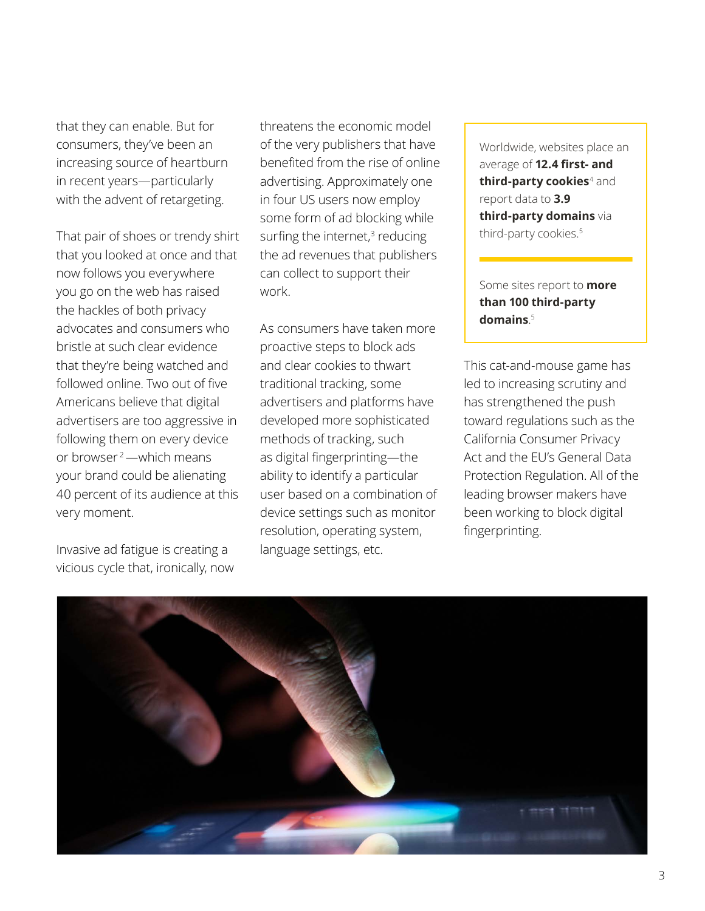that they can enable. But for consumers, they've been an increasing source of heartburn in recent years—particularly with the advent of retargeting.

That pair of shoes or trendy shirt that you looked at once and that now follows you everywhere you go on the web has raised the hackles of both privacy advocates and consumers who bristle at such clear evidence that they're being watched and followed online. Two out of five Americans believe that digital advertisers are too aggressive in following them on every device or browser 2—which means your brand could be alienating 40 percent of its audience at this very moment.

Invasive ad fatigue is creating a vicious cycle that, ironically, now threatens the economic model of the very publishers that have benefited from the rise of online advertising. Approximately one in four US users now employ some form of ad blocking while surfing the internet, $3$  reducing the ad revenues that publishers can collect to support their work.

As consumers have taken more proactive steps to block ads and clear cookies to thwart traditional tracking, some advertisers and platforms have developed more sophisticated methods of tracking, such as digital fingerprinting—the ability to identify a particular user based on a combination of device settings such as monitor resolution, operating system, language settings, etc.

Worldwide, websites place an average of **12.4 first- and third-party cookies**<sup>4</sup> and report data to **3.9 third-party domains** via third-party cookies.<sup>5</sup>

Some sites report to **more than 100 third-party domains**. 5

This cat-and-mouse game has led to increasing scrutiny and has strengthened the push toward regulations such as the California Consumer Privacy Act and the EU's General Data Protection Regulation. All of the leading browser makers have been working to block digital fingerprinting.

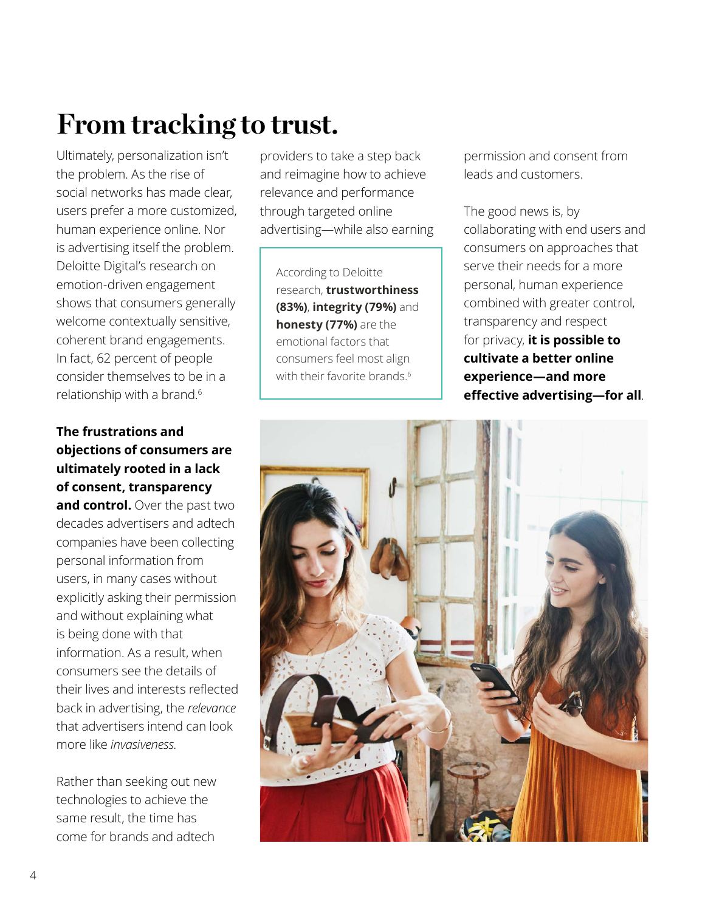# **From tracking to trust.**

Ultimately, personalization isn't the problem. As the rise of social networks has made clear, users prefer a more customized, human experience online. Nor is advertising itself the problem. Deloitte Digital's research on emotion-driven engagement shows that consumers generally welcome contextually sensitive, coherent brand engagements. In fact, 62 percent of people consider themselves to be in a relationship with a brand.6

**The frustrations and objections of consumers are ultimately rooted in a lack of consent, transparency**  and control. Over the past two decades advertisers and adtech companies have been collecting personal information from users, in many cases without explicitly asking their permission and without explaining what is being done with that information. As a result, when consumers see the details of their lives and interests reflected back in advertising, the *relevance* that advertisers intend can look more like *invasiveness*.

Rather than seeking out new technologies to achieve the same result, the time has come for brands and adtech

providers to take a step back and reimagine how to achieve relevance and performance through targeted online advertising—while also earning

According to Deloitte research, **trustworthiness (83%)**, **integrity (79%)** and **honesty (77%)** are the emotional factors that consumers feel most align with their favorite brands.<sup>6</sup>

permission and consent from leads and customers.

The good news is, by collaborating with end users and consumers on approaches that serve their needs for a more personal, human experience combined with greater control, transparency and respect for privacy, **it is possible to cultivate a better online experience—and more effective advertising—for all**.

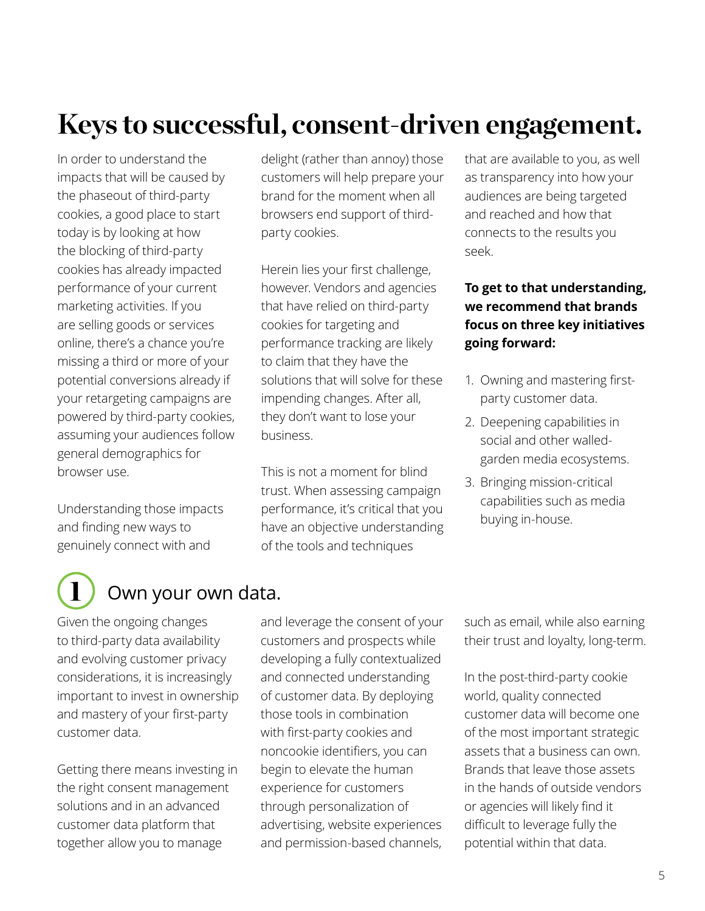# **Keys to successful, consent-driven engagement.**

In order to understand the impacts that will be caused by the phaseout of third-party cookies, a good place to start today is by looking at how the blocking of third-party cookies has already impacted performance of your current marketing activities. If you are selling goods or services online, there's a chance you're missing a third or more of your potential conversions already if your retargeting campaigns are powered by third-party cookies, assuming your audiences follow general demographics for browser use.

Understanding those impacts and finding new ways to genuinely connect with and

delight (rather than annoy) those customers will help prepare your brand for the moment when all browsers end support of thirdparty cookies.

Herein lies your first challenge, however. Vendors and agencies that have relied on third-party cookies for targeting and performance tracking are likely to claim that they have the solutions that will solve for these impending changes. After all, they don't want to lose your business.

This is not a moment for blind trust. When assessing campaign performance, it's critical that you have an objective understanding of the tools and techniques

that are available to you, as well as transparency into how your audiences are being targeted and reached and how that connects to the results you seek.

#### **To get to that understanding, we recommend that brands focus on three key initiatives going forward:**

- 1. Owning and mastering firstparty customer data.
- 2. Deepening capabilities in social and other walledgarden media ecosystems.
- 3. Bringing mission-critical capabilities such as media buying in-house.

### Own your own data.

Given the ongoing changes to third-party data availability and evolving customer privacy considerations, it is increasingly important to invest in ownership and mastery of your first-party customer data.

Getting there means investing in the right consent management solutions and in an advanced customer data platform that together allow you to manage

and leverage the consent of your customers and prospects while developing a fully contextualized and connected understanding of customer data. By deploying those tools in combination with first-party cookies and noncookie identifiers, you can begin to elevate the human experience for customers through personalization of advertising, website experiences and permission-based channels,

such as email, while also earning their trust and loyalty, long-term.

In the post-third-party cookie world, quality connected customer data will become one of the most important strategic assets that a business can own. Brands that leave those assets in the hands of outside vendors or agencies will likely find it difficult to leverage fully the potential within that data.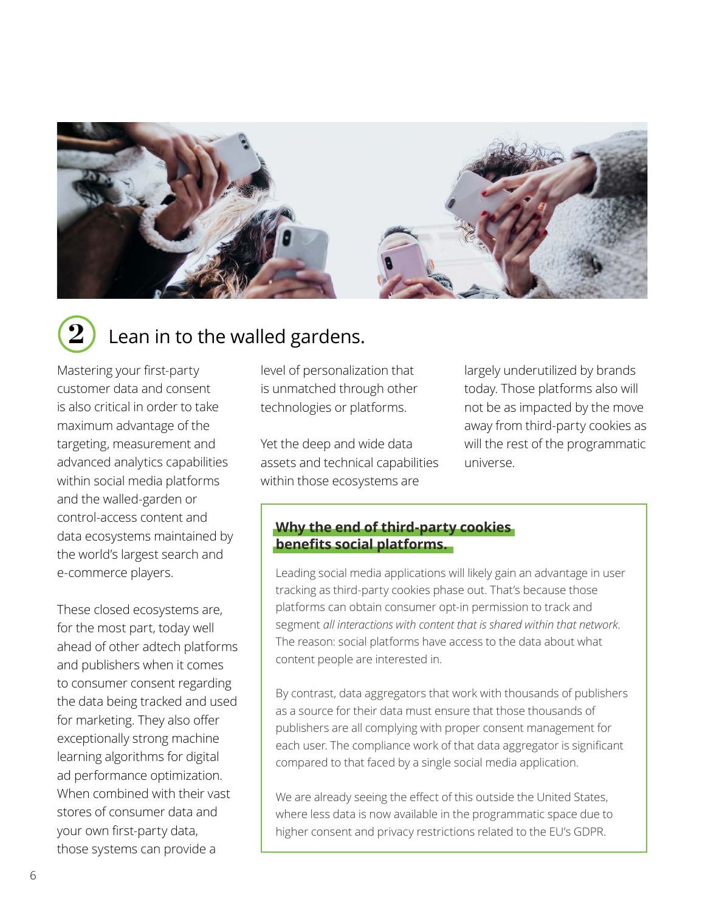

### Lean in to the walled gardens.

Mastering your first-party customer data and consent is also critical in order to take maximum advantage of the targeting, measurement and advanced analytics capabilities within social media platforms and the walled-garden or control-access content and data ecosystems maintained by the world's largest search and e-commerce players.

These closed ecosystems are, for the most part, today well ahead of other adtech platforms and publishers when it comes to consumer consent regarding the data being tracked and used for marketing. They also offer exceptionally strong machine learning algorithms for digital ad performance optimization. When combined with their vast stores of consumer data and your own first-party data, those systems can provide a

level of personalization that is unmatched through other technologies or platforms.

Yet the deep and wide data assets and technical capabilities within those ecosystems are

largely underutilized by brands today. Those platforms also will not be as impacted by the move away from third-party cookies as will the rest of the programmatic universe.

#### **Why the end of third-party cookies benefits social platforms.**

Leading social media applications will likely gain an advantage in user tracking as third-party cookies phase out. That's because those platforms can obtain consumer opt-in permission to track and segment *all interactions with content that is shared within that network*. The reason: social platforms have access to the data about what content people are interested in.

By contrast, data aggregators that work with thousands of publishers as a source for their data must ensure that those thousands of publishers are all complying with proper consent management for each user. The compliance work of that data aggregator is significant compared to that faced by a single social media application.

We are already seeing the effect of this outside the United States, where less data is now available in the programmatic space due to higher consent and privacy restrictions related to the EU's GDPR.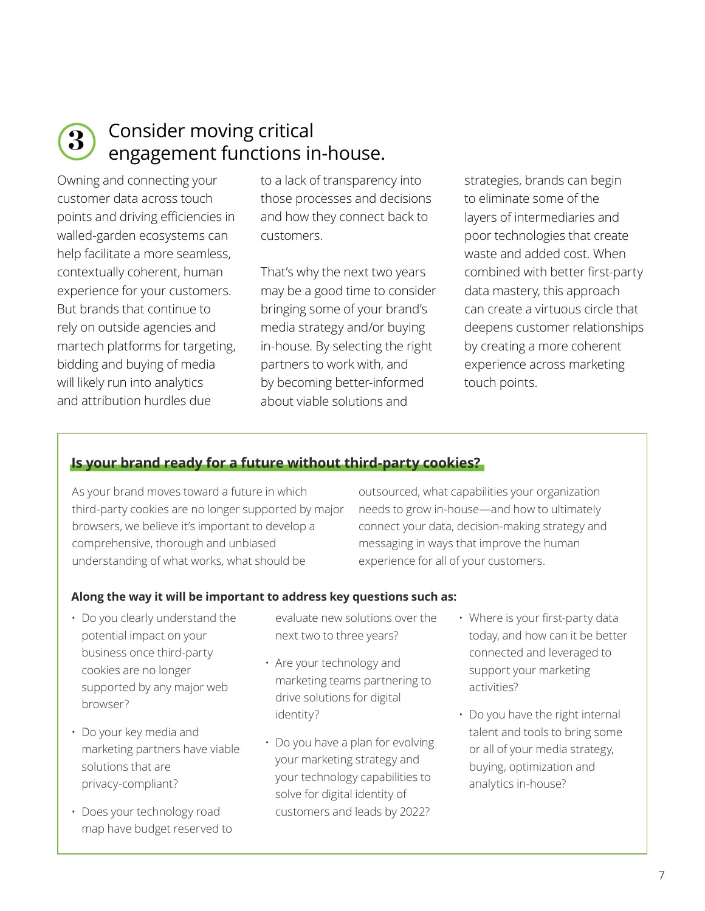

### Consider moving critical **3)** Consider moving critical<br>engagement functions in-house.

Owning and connecting your customer data across touch points and driving efficiencies in walled-garden ecosystems can help facilitate a more seamless, contextually coherent, human experience for your customers. But brands that continue to rely on outside agencies and martech platforms for targeting, bidding and buying of media will likely run into analytics and attribution hurdles due

to a lack of transparency into those processes and decisions and how they connect back to customers.

That's why the next two years may be a good time to consider bringing some of your brand's media strategy and/or buying in-house. By selecting the right partners to work with, and by becoming better-informed about viable solutions and

strategies, brands can begin to eliminate some of the layers of intermediaries and poor technologies that create waste and added cost. When combined with better first-party data mastery, this approach can create a virtuous circle that deepens customer relationships by creating a more coherent experience across marketing touch points.

#### **Is your brand ready for a future without third-party cookies?**

As your brand moves toward a future in which third-party cookies are no longer supported by major browsers, we believe it's important to develop a comprehensive, thorough and unbiased understanding of what works, what should be

outsourced, what capabilities your organization needs to grow in-house—and how to ultimately connect your data, decision-making strategy and messaging in ways that improve the human experience for all of your customers.

#### **Along the way it will be important to address key questions such as:**

- Do you clearly understand the potential impact on your business once third-party cookies are no longer supported by any major web browser?
- Do your key media and marketing partners have viable solutions that are privacy-compliant?
- Does your technology road map have budget reserved to
- evaluate new solutions over the next two to three years?
- Are your technology and marketing teams partnering to drive solutions for digital identity?
- Do you have a plan for evolving your marketing strategy and your technology capabilities to solve for digital identity of customers and leads by 2022?
- Where is your first-party data today, and how can it be better connected and leveraged to support your marketing activities?
- Do you have the right internal talent and tools to bring some or all of your media strategy, buying, optimization and analytics in-house?